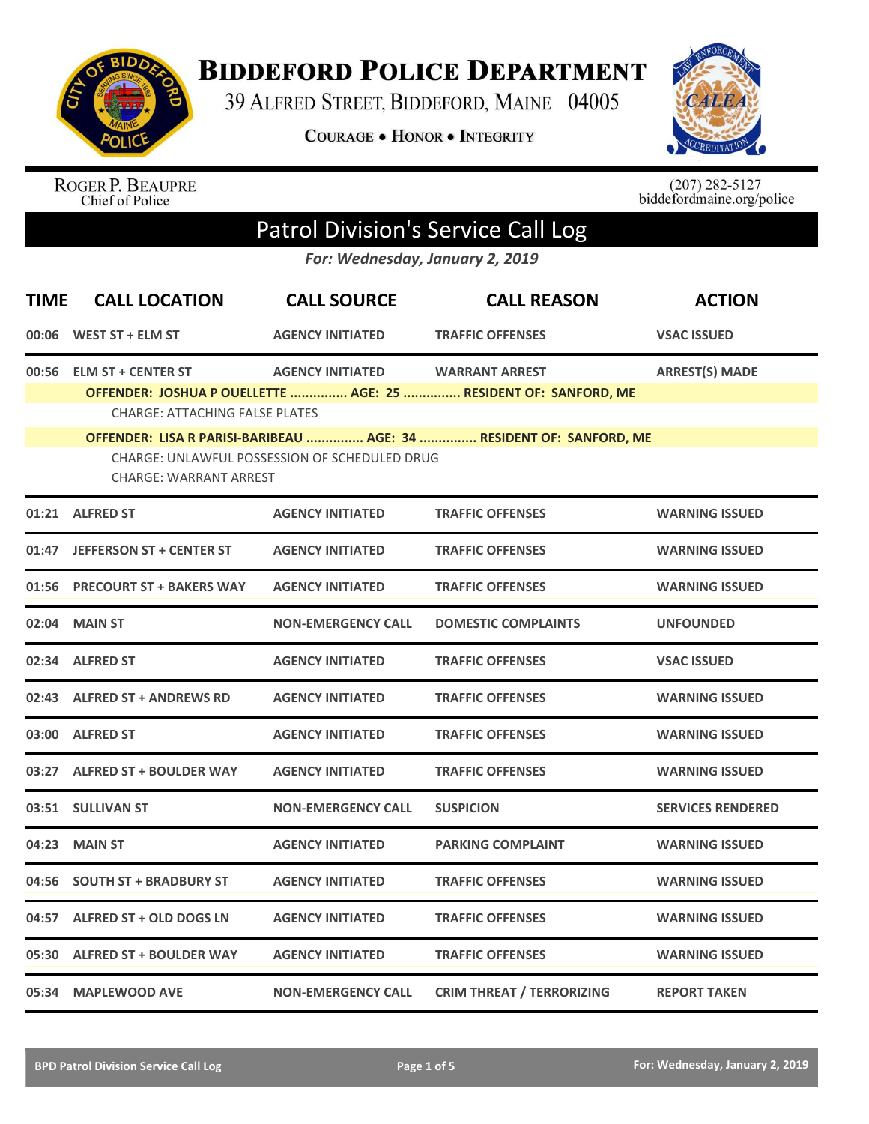

## **BIDDEFORD POLICE DEPARTMENT**

39 ALFRED STREET, BIDDEFORD, MAINE 04005

**COURAGE . HONOR . INTEGRITY** 



ROGER P. BEAUPRE<br>Chief of Police

 $(207)$  282-5127<br>biddefordmaine.org/police

## Patrol Division's Service Call Log

*For: Wednesday, January 2, 2019*

| <b>TIME</b> | <b>CALL LOCATION</b>                                                           | <b>CALL SOURCE</b>        | <b>CALL REASON</b>                                                  | <b>ACTION</b>            |
|-------------|--------------------------------------------------------------------------------|---------------------------|---------------------------------------------------------------------|--------------------------|
| 00:06       | WEST ST + ELM ST                                                               | <b>AGENCY INITIATED</b>   | <b>TRAFFIC OFFENSES</b>                                             | <b>VSAC ISSUED</b>       |
| 00:56       | <b>ELM ST + CENTER ST</b>                                                      | <b>AGENCY INITIATED</b>   | <b>WARRANT ARREST</b>                                               | <b>ARREST(S) MADE</b>    |
|             | <b>CHARGE: ATTACHING FALSE PLATES</b>                                          |                           | OFFENDER: JOSHUA P OUELLETTE  AGE: 25  RESIDENT OF: SANFORD, ME     |                          |
|             |                                                                                |                           | OFFENDER: LISA R PARISI-BARIBEAU  AGE: 34  RESIDENT OF: SANFORD, ME |                          |
|             | CHARGE: UNLAWFUL POSSESSION OF SCHEDULED DRUG<br><b>CHARGE: WARRANT ARREST</b> |                           |                                                                     |                          |
|             | 01:21 ALFRED ST                                                                | <b>AGENCY INITIATED</b>   | <b>TRAFFIC OFFENSES</b>                                             | <b>WARNING ISSUED</b>    |
| 01:47       | <b>JEFFERSON ST + CENTER ST</b>                                                | <b>AGENCY INITIATED</b>   | <b>TRAFFIC OFFENSES</b>                                             | <b>WARNING ISSUED</b>    |
| 01:56       | <b>PRECOURT ST + BAKERS WAY</b>                                                | <b>AGENCY INITIATED</b>   | <b>TRAFFIC OFFENSES</b>                                             | <b>WARNING ISSUED</b>    |
| 02:04       | <b>MAIN ST</b>                                                                 | <b>NON-EMERGENCY CALL</b> | <b>DOMESTIC COMPLAINTS</b>                                          | <b>UNFOUNDED</b>         |
| 02:34       | <b>ALFRED ST</b>                                                               | <b>AGENCY INITIATED</b>   | <b>TRAFFIC OFFENSES</b>                                             | <b>VSAC ISSUED</b>       |
|             | 02:43 ALFRED ST + ANDREWS RD                                                   | <b>AGENCY INITIATED</b>   | <b>TRAFFIC OFFENSES</b>                                             | <b>WARNING ISSUED</b>    |
|             | 03:00 ALFRED ST                                                                | <b>AGENCY INITIATED</b>   | <b>TRAFFIC OFFENSES</b>                                             | <b>WARNING ISSUED</b>    |
| 03:27       | <b>ALFRED ST + BOULDER WAY</b>                                                 | <b>AGENCY INITIATED</b>   | <b>TRAFFIC OFFENSES</b>                                             | <b>WARNING ISSUED</b>    |
|             | 03:51 SULLIVAN ST                                                              | <b>NON-EMERGENCY CALL</b> | <b>SUSPICION</b>                                                    | <b>SERVICES RENDERED</b> |
| 04:23       | <b>MAIN ST</b>                                                                 | <b>AGENCY INITIATED</b>   | <b>PARKING COMPLAINT</b>                                            | <b>WARNING ISSUED</b>    |
| 04:56       | <b>SOUTH ST + BRADBURY ST</b>                                                  | <b>AGENCY INITIATED</b>   | <b>TRAFFIC OFFENSES</b>                                             | <b>WARNING ISSUED</b>    |
| 04:57       | ALFRED ST + OLD DOGS LN                                                        | <b>AGENCY INITIATED</b>   | <b>TRAFFIC OFFENSES</b>                                             | <b>WARNING ISSUED</b>    |
| 05:30       | <b>ALFRED ST + BOULDER WAY</b>                                                 | <b>AGENCY INITIATED</b>   | <b>TRAFFIC OFFENSES</b>                                             | <b>WARNING ISSUED</b>    |
|             | 05:34 MAPLEWOOD AVE                                                            | <b>NON-EMERGENCY CALL</b> | <b>CRIM THREAT / TERRORIZING</b>                                    | <b>REPORT TAKEN</b>      |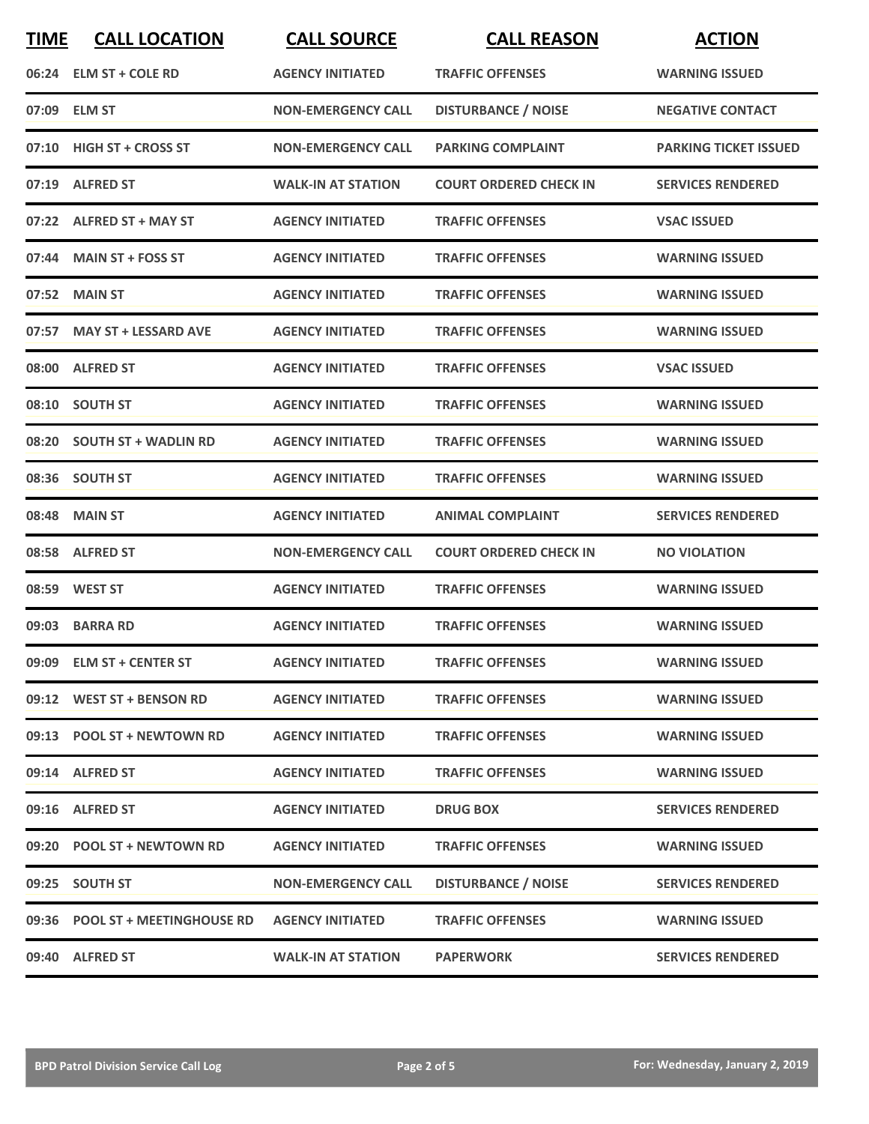| <b>TIME</b> | <b>CALL LOCATION</b>            | <b>CALL SOURCE</b>        | <b>CALL REASON</b>            | <b>ACTION</b>                |
|-------------|---------------------------------|---------------------------|-------------------------------|------------------------------|
|             | 06:24 ELM ST + COLE RD          | <b>AGENCY INITIATED</b>   | <b>TRAFFIC OFFENSES</b>       | <b>WARNING ISSUED</b>        |
|             | 07:09 ELM ST                    | <b>NON-EMERGENCY CALL</b> | <b>DISTURBANCE / NOISE</b>    | <b>NEGATIVE CONTACT</b>      |
|             | 07:10 HIGH ST + CROSS ST        | <b>NON-EMERGENCY CALL</b> | <b>PARKING COMPLAINT</b>      | <b>PARKING TICKET ISSUED</b> |
|             | 07:19 ALFRED ST                 | <b>WALK-IN AT STATION</b> | <b>COURT ORDERED CHECK IN</b> | <b>SERVICES RENDERED</b>     |
|             | 07:22 ALFRED ST + MAY ST        | <b>AGENCY INITIATED</b>   | <b>TRAFFIC OFFENSES</b>       | <b>VSAC ISSUED</b>           |
| 07:44       | <b>MAIN ST + FOSS ST</b>        | <b>AGENCY INITIATED</b>   | <b>TRAFFIC OFFENSES</b>       | <b>WARNING ISSUED</b>        |
| 07:52       | <b>MAIN ST</b>                  | <b>AGENCY INITIATED</b>   | <b>TRAFFIC OFFENSES</b>       | <b>WARNING ISSUED</b>        |
| 07:57       | <b>MAY ST + LESSARD AVE</b>     | <b>AGENCY INITIATED</b>   | <b>TRAFFIC OFFENSES</b>       | <b>WARNING ISSUED</b>        |
|             | 08:00 ALFRED ST                 | <b>AGENCY INITIATED</b>   | <b>TRAFFIC OFFENSES</b>       | <b>VSAC ISSUED</b>           |
| 08:10       | <b>SOUTH ST</b>                 | <b>AGENCY INITIATED</b>   | <b>TRAFFIC OFFENSES</b>       | <b>WARNING ISSUED</b>        |
|             | 08:20 SOUTH ST + WADLIN RD      | <b>AGENCY INITIATED</b>   | <b>TRAFFIC OFFENSES</b>       | <b>WARNING ISSUED</b>        |
|             | 08:36 SOUTH ST                  | <b>AGENCY INITIATED</b>   | <b>TRAFFIC OFFENSES</b>       | <b>WARNING ISSUED</b>        |
| 08:48       | <b>MAIN ST</b>                  | <b>AGENCY INITIATED</b>   | <b>ANIMAL COMPLAINT</b>       | <b>SERVICES RENDERED</b>     |
|             | 08:58 ALFRED ST                 | <b>NON-EMERGENCY CALL</b> | <b>COURT ORDERED CHECK IN</b> | <b>NO VIOLATION</b>          |
|             | 08:59 WEST ST                   | <b>AGENCY INITIATED</b>   | <b>TRAFFIC OFFENSES</b>       | <b>WARNING ISSUED</b>        |
|             | 09:03 BARRA RD                  | <b>AGENCY INITIATED</b>   | <b>TRAFFIC OFFENSES</b>       | <b>WARNING ISSUED</b>        |
|             | 09:09 ELM ST + CENTER ST        | <b>AGENCY INITIATED</b>   | <b>TRAFFIC OFFENSES</b>       | <b>WARNING ISSUED</b>        |
|             | 09:12 WEST ST + BENSON RD       | <b>AGENCY INITIATED</b>   | <b>TRAFFIC OFFENSES</b>       | <b>WARNING ISSUED</b>        |
|             | 09:13 POOL ST + NEWTOWN RD      | <b>AGENCY INITIATED</b>   | <b>TRAFFIC OFFENSES</b>       | <b>WARNING ISSUED</b>        |
|             | 09:14 ALFRED ST                 | <b>AGENCY INITIATED</b>   | <b>TRAFFIC OFFENSES</b>       | <b>WARNING ISSUED</b>        |
|             | 09:16 ALFRED ST                 | <b>AGENCY INITIATED</b>   | <b>DRUG BOX</b>               | <b>SERVICES RENDERED</b>     |
|             | 09:20 POOL ST + NEWTOWN RD      | <b>AGENCY INITIATED</b>   | <b>TRAFFIC OFFENSES</b>       | <b>WARNING ISSUED</b>        |
|             | 09:25 SOUTH ST                  | <b>NON-EMERGENCY CALL</b> | <b>DISTURBANCE / NOISE</b>    | <b>SERVICES RENDERED</b>     |
|             | 09:36 POOL ST + MEETINGHOUSE RD | <b>AGENCY INITIATED</b>   | <b>TRAFFIC OFFENSES</b>       | <b>WARNING ISSUED</b>        |
|             | 09:40 ALFRED ST                 | <b>WALK-IN AT STATION</b> | <b>PAPERWORK</b>              | <b>SERVICES RENDERED</b>     |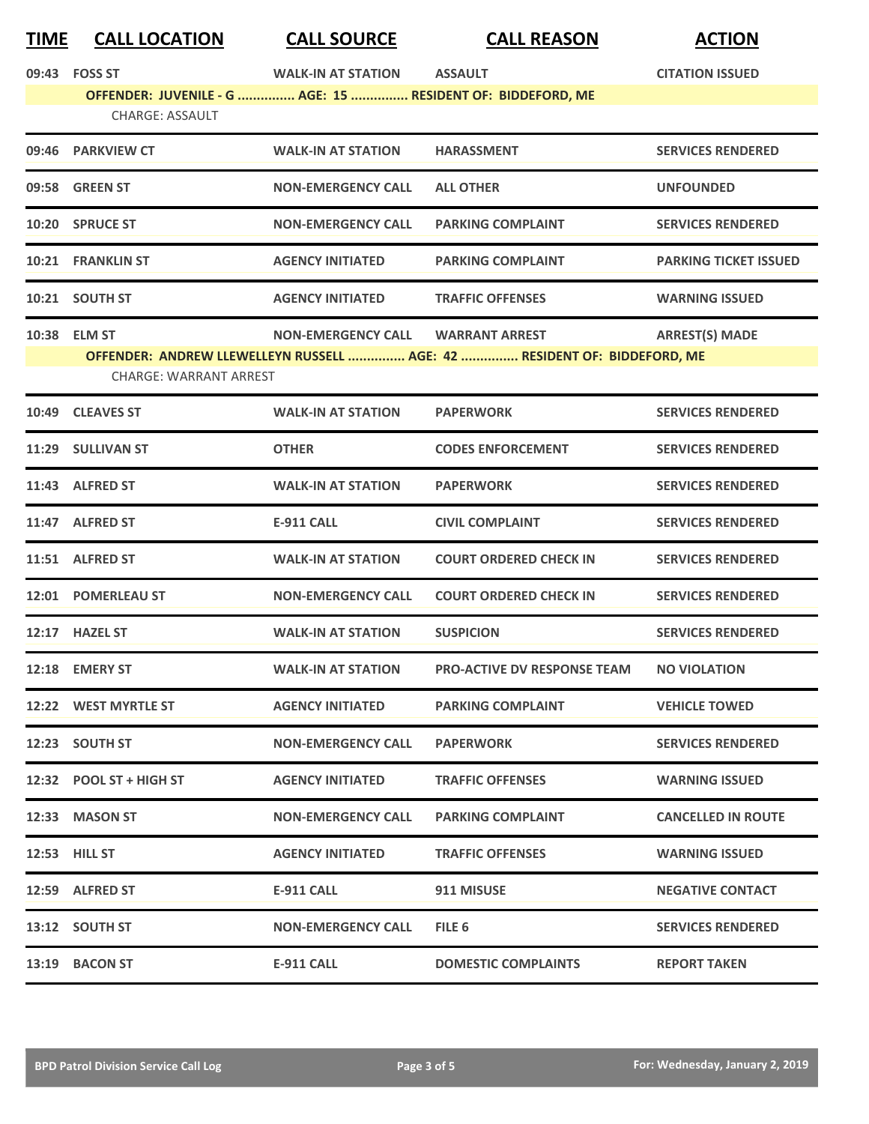| TIME | <b>CALL LOCATION</b>          | <b>CALL SOURCE</b>        | <b>CALL REASON</b>                                                       | <b>ACTION</b>                |
|------|-------------------------------|---------------------------|--------------------------------------------------------------------------|------------------------------|
|      | 09:43 FOSS ST                 | <b>WALK-IN AT STATION</b> | <b>ASSAULT</b>                                                           | <b>CITATION ISSUED</b>       |
|      |                               |                           | OFFENDER: JUVENILE - G  AGE: 15  RESIDENT OF: BIDDEFORD, ME              |                              |
|      | <b>CHARGE: ASSAULT</b>        |                           |                                                                          |                              |
|      | 09:46 PARKVIEW CT             | <b>WALK-IN AT STATION</b> | <b>HARASSMENT</b>                                                        | <b>SERVICES RENDERED</b>     |
|      | 09:58 GREEN ST                | <b>NON-EMERGENCY CALL</b> | <b>ALL OTHER</b>                                                         | <b>UNFOUNDED</b>             |
|      | 10:20 SPRUCE ST               | <b>NON-EMERGENCY CALL</b> | <b>PARKING COMPLAINT</b>                                                 | <b>SERVICES RENDERED</b>     |
|      | 10:21 FRANKLIN ST             | <b>AGENCY INITIATED</b>   | <b>PARKING COMPLAINT</b>                                                 | <b>PARKING TICKET ISSUED</b> |
|      | 10:21 SOUTH ST                | <b>AGENCY INITIATED</b>   | <b>TRAFFIC OFFENSES</b>                                                  | <b>WARNING ISSUED</b>        |
|      | 10:38 ELM ST                  | <b>NON-EMERGENCY CALL</b> | <b>WARRANT ARREST</b>                                                    | <b>ARREST(S) MADE</b>        |
|      |                               |                           | OFFENDER: ANDREW LLEWELLEYN RUSSELL  AGE: 42  RESIDENT OF: BIDDEFORD, ME |                              |
|      | <b>CHARGE: WARRANT ARREST</b> |                           |                                                                          |                              |
|      | 10:49 CLEAVES ST              | <b>WALK-IN AT STATION</b> | <b>PAPERWORK</b>                                                         | <b>SERVICES RENDERED</b>     |
|      | 11:29 SULLIVAN ST             | <b>OTHER</b>              | <b>CODES ENFORCEMENT</b>                                                 | <b>SERVICES RENDERED</b>     |
|      | 11:43 ALFRED ST               | <b>WALK-IN AT STATION</b> | <b>PAPERWORK</b>                                                         | <b>SERVICES RENDERED</b>     |
|      | 11:47 ALFRED ST               | <b>E-911 CALL</b>         | <b>CIVIL COMPLAINT</b>                                                   | <b>SERVICES RENDERED</b>     |
|      | 11:51 ALFRED ST               | <b>WALK-IN AT STATION</b> | <b>COURT ORDERED CHECK IN</b>                                            | <b>SERVICES RENDERED</b>     |
|      | 12:01 POMERLEAU ST            | <b>NON-EMERGENCY CALL</b> | <b>COURT ORDERED CHECK IN</b>                                            | <b>SERVICES RENDERED</b>     |
|      | 12:17 HAZEL ST                | <b>WALK-IN AT STATION</b> | <b>SUSPICION</b>                                                         | <b>SERVICES RENDERED</b>     |
|      | 12:18 EMERY ST                | <b>WALK-IN AT STATION</b> | <b>PRO-ACTIVE DV RESPONSE TEAM NO VIOLATION</b>                          |                              |
|      | 12:22 WEST MYRTLE ST          | <b>AGENCY INITIATED</b>   | <b>PARKING COMPLAINT</b>                                                 | <b>VEHICLE TOWED</b>         |
|      | 12:23 SOUTH ST                | <b>NON-EMERGENCY CALL</b> | <b>PAPERWORK</b>                                                         | <b>SERVICES RENDERED</b>     |
|      | 12:32 POOL ST + HIGH ST       | <b>AGENCY INITIATED</b>   | <b>TRAFFIC OFFENSES</b>                                                  | <b>WARNING ISSUED</b>        |
|      | 12:33 MASON ST                | <b>NON-EMERGENCY CALL</b> | <b>PARKING COMPLAINT</b>                                                 | <b>CANCELLED IN ROUTE</b>    |
|      | <b>12:53 HILL ST</b>          | <b>AGENCY INITIATED</b>   | <b>TRAFFIC OFFENSES</b>                                                  | <b>WARNING ISSUED</b>        |
|      | 12:59 ALFRED ST               | E-911 CALL                | 911 MISUSE                                                               | <b>NEGATIVE CONTACT</b>      |
|      | 13:12 SOUTH ST                | <b>NON-EMERGENCY CALL</b> | FILE 6                                                                   | <b>SERVICES RENDERED</b>     |
|      | 13:19 BACON ST                | <b>E-911 CALL</b>         | <b>DOMESTIC COMPLAINTS</b>                                               | <b>REPORT TAKEN</b>          |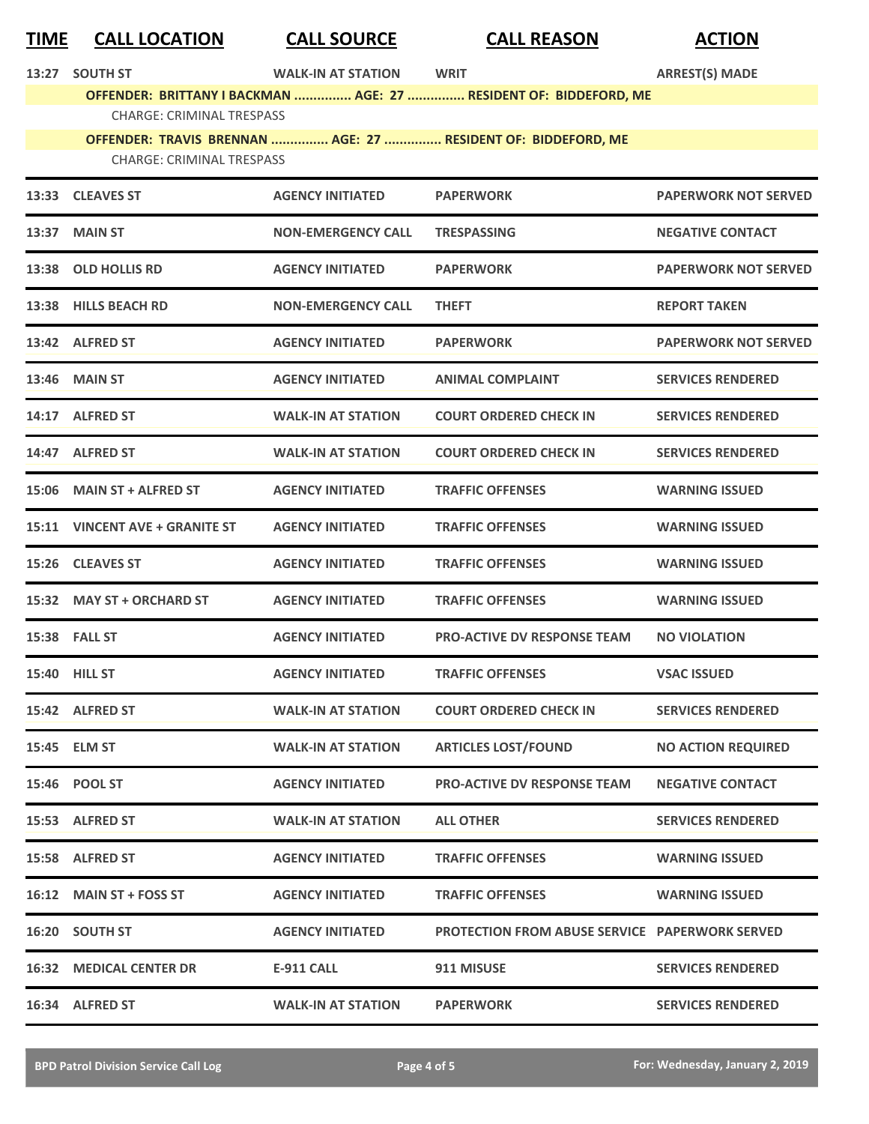| <u>TIME</u> | <b>CALL LOCATION</b>                                                                              | <b>CALL SOURCE</b>        | <b>CALL REASON</b>                                                | <b>ACTION</b>               |  |  |
|-------------|---------------------------------------------------------------------------------------------------|---------------------------|-------------------------------------------------------------------|-----------------------------|--|--|
| 13:27       | <b>SOUTH ST</b>                                                                                   | <b>WALK-IN AT STATION</b> | <b>WRIT</b>                                                       | <b>ARREST(S) MADE</b>       |  |  |
|             | <b>CHARGE: CRIMINAL TRESPASS</b>                                                                  |                           | OFFENDER: BRITTANY I BACKMAN  AGE: 27  RESIDENT OF: BIDDEFORD, ME |                             |  |  |
|             |                                                                                                   |                           |                                                                   |                             |  |  |
|             | OFFENDER: TRAVIS BRENNAN  AGE: 27  RESIDENT OF: BIDDEFORD, ME<br><b>CHARGE: CRIMINAL TRESPASS</b> |                           |                                                                   |                             |  |  |
|             | 13:33 CLEAVES ST                                                                                  | <b>AGENCY INITIATED</b>   | <b>PAPERWORK</b>                                                  | <b>PAPERWORK NOT SERVED</b> |  |  |
| 13:37       | <b>MAIN ST</b>                                                                                    | <b>NON-EMERGENCY CALL</b> | <b>TRESPASSING</b>                                                | <b>NEGATIVE CONTACT</b>     |  |  |
| 13:38       | <b>OLD HOLLIS RD</b>                                                                              | <b>AGENCY INITIATED</b>   | <b>PAPERWORK</b>                                                  | <b>PAPERWORK NOT SERVED</b> |  |  |
| 13:38       | <b>HILLS BEACH RD</b>                                                                             | <b>NON-EMERGENCY CALL</b> | <b>THEFT</b>                                                      | <b>REPORT TAKEN</b>         |  |  |
|             | 13:42 ALFRED ST                                                                                   | <b>AGENCY INITIATED</b>   | <b>PAPERWORK</b>                                                  | <b>PAPERWORK NOT SERVED</b> |  |  |
| 13:46       | <b>MAIN ST</b>                                                                                    | <b>AGENCY INITIATED</b>   | <b>ANIMAL COMPLAINT</b>                                           | <b>SERVICES RENDERED</b>    |  |  |
|             | 14:17 ALFRED ST                                                                                   | <b>WALK-IN AT STATION</b> | <b>COURT ORDERED CHECK IN</b>                                     | <b>SERVICES RENDERED</b>    |  |  |
| 14:47       | <b>ALFRED ST</b>                                                                                  | <b>WALK-IN AT STATION</b> | <b>COURT ORDERED CHECK IN</b>                                     | <b>SERVICES RENDERED</b>    |  |  |
| 15:06       | <b>MAIN ST + ALFRED ST</b>                                                                        | <b>AGENCY INITIATED</b>   | <b>TRAFFIC OFFENSES</b>                                           | <b>WARNING ISSUED</b>       |  |  |
|             | 15:11 VINCENT AVE + GRANITE ST                                                                    | <b>AGENCY INITIATED</b>   | <b>TRAFFIC OFFENSES</b>                                           | <b>WARNING ISSUED</b>       |  |  |
| 15:26       | <b>CLEAVES ST</b>                                                                                 | <b>AGENCY INITIATED</b>   | <b>TRAFFIC OFFENSES</b>                                           | <b>WARNING ISSUED</b>       |  |  |
|             | 15:32 MAY ST + ORCHARD ST                                                                         | <b>AGENCY INITIATED</b>   | <b>TRAFFIC OFFENSES</b>                                           | <b>WARNING ISSUED</b>       |  |  |
|             | 15:38 FALL ST                                                                                     | <b>AGENCY INITIATED</b>   | <b>PRO-ACTIVE DV RESPONSE TEAM</b>                                | <b>NO VIOLATION</b>         |  |  |
|             | <b>15:40 HILL ST</b>                                                                              | <b>AGENCY INITIATED</b>   | <b>TRAFFIC OFFENSES</b>                                           | <b>VSAC ISSUED</b>          |  |  |
|             | 15:42 ALFRED ST                                                                                   | <b>WALK-IN AT STATION</b> | <b>COURT ORDERED CHECK IN</b>                                     | <b>SERVICES RENDERED</b>    |  |  |
|             | 15:45 ELM ST                                                                                      | <b>WALK-IN AT STATION</b> | <b>ARTICLES LOST/FOUND</b>                                        | <b>NO ACTION REQUIRED</b>   |  |  |
|             | 15:46 POOL ST                                                                                     | <b>AGENCY INITIATED</b>   | <b>PRO-ACTIVE DV RESPONSE TEAM</b>                                | <b>NEGATIVE CONTACT</b>     |  |  |
|             | 15:53 ALFRED ST                                                                                   | <b>WALK-IN AT STATION</b> | <b>ALL OTHER</b>                                                  | <b>SERVICES RENDERED</b>    |  |  |
|             | 15:58 ALFRED ST                                                                                   | <b>AGENCY INITIATED</b>   | <b>TRAFFIC OFFENSES</b>                                           | <b>WARNING ISSUED</b>       |  |  |
|             | 16:12 MAIN ST + FOSS ST                                                                           | <b>AGENCY INITIATED</b>   | <b>TRAFFIC OFFENSES</b>                                           | <b>WARNING ISSUED</b>       |  |  |
|             | 16:20 SOUTH ST                                                                                    | <b>AGENCY INITIATED</b>   | <b>PROTECTION FROM ABUSE SERVICE PAPERWORK SERVED</b>             |                             |  |  |
|             | <b>16:32 MEDICAL CENTER DR</b>                                                                    | <b>E-911 CALL</b>         | 911 MISUSE                                                        | <b>SERVICES RENDERED</b>    |  |  |
|             | 16:34 ALFRED ST                                                                                   | <b>WALK-IN AT STATION</b> | <b>PAPERWORK</b>                                                  | <b>SERVICES RENDERED</b>    |  |  |